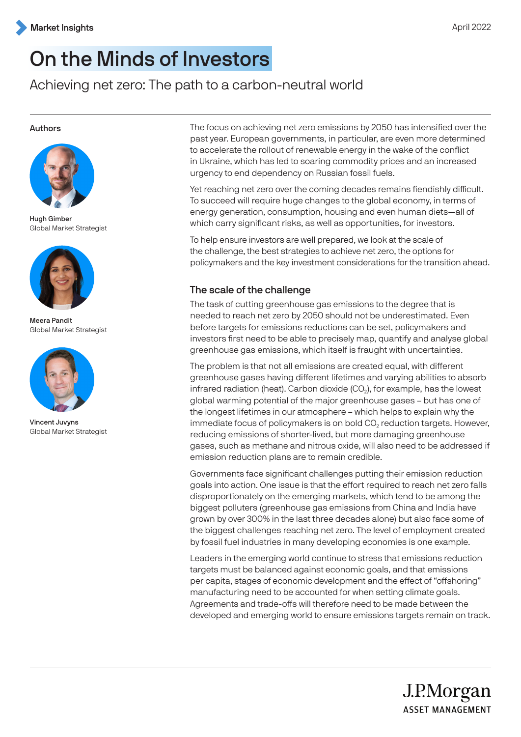# On the Minds of Investors

Achieving net zero: The path to a carbon-neutral world

#### Authors



Hugh Gimber Global Market Strategist



Meera Pandit Global Market Strategist



Vincent Juvyns Global Market Strategist

The focus on achieving net zero emissions by 2050 has intensified over the past year. European governments, in particular, are even more determined to accelerate the rollout of renewable energy in the wake of the conflict in Ukraine, which has led to soaring commodity prices and an increased urgency to end dependency on Russian fossil fuels.

Yet reaching net zero over the coming decades remains fiendishly difficult. To succeed will require huge changes to the global economy, in terms of energy generation, consumption, housing and even human diets—all of which carry significant risks, as well as opportunities, for investors.

To help ensure investors are well prepared, we look at the scale of the challenge, the best strategies to achieve net zero, the options for policymakers and the key investment considerations for the transition ahead.

# The scale of the challenge

The task of cutting greenhouse gas emissions to the degree that is needed to reach net zero by 2050 should not be underestimated. Even before targets for emissions reductions can be set, policymakers and investors first need to be able to precisely map, quantify and analyse global greenhouse gas emissions, which itself is fraught with uncertainties.

The problem is that not all emissions are created equal, with different greenhouse gases having different lifetimes and varying abilities to absorb infrared radiation (heat). Carbon dioxide (CO₂), for example, has the lowest global warming potential of the major greenhouse gases – but has one of the longest lifetimes in our atmosphere – which helps to explain why the immediate focus of policymakers is on bold CO<sub>2</sub> reduction targets. However, reducing emissions of shorter-lived, but more damaging greenhouse gases, such as methane and nitrous oxide, will also need to be addressed if emission reduction plans are to remain credible.

Governments face significant challenges putting their emission reduction goals into action. One issue is that the effort required to reach net zero falls disproportionately on the emerging markets, which tend to be among the biggest polluters (greenhouse gas emissions from China and India have grown by over 300% in the last three decades alone) but also face some of the biggest challenges reaching net zero. The level of employment created by fossil fuel industries in many developing economies is one example.

Leaders in the emerging world continue to stress that emissions reduction targets must be balanced against economic goals, and that emissions per capita, stages of economic development and the effect of "offshoring" manufacturing need to be accounted for when setting climate goals. Agreements and trade-offs will therefore need to be made between the developed and emerging world to ensure emissions targets remain on track.

J.P.Morgan

**ASSET MANAGEMENT**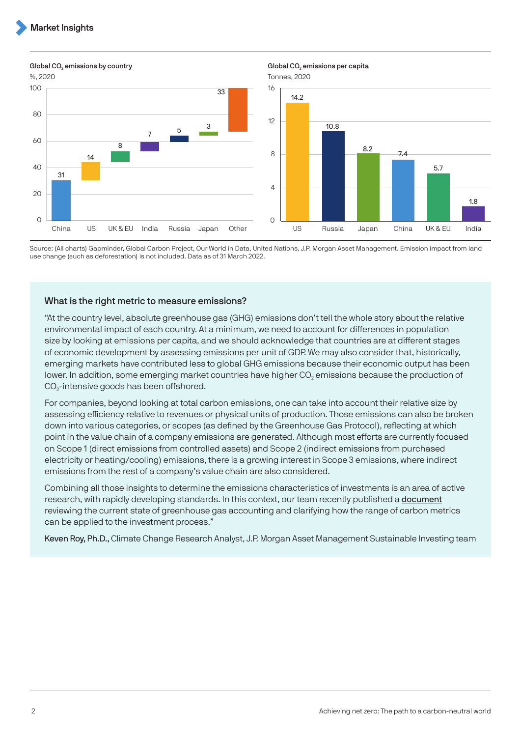%, 2020 Tonnes, 2020 31 14 8  $\begin{array}{c|c} \mathbf{7} & \mathbf{5} & \mathbf{3} \\ \hline \end{array}$ 33  $\cap$ 20 40 60  $80$ China US UK & EU India Russia Japan Other 100

Global CO<sub>2</sub> emissions by country Global CO<sub>2</sub> emissions per capita



Source: (All charts) Gapminder, Global Carbon Project, Our World in Data, United Nations, J.P. Morgan Asset Management. Emission impact from land use change (such as deforestation) is not included. Data as of 31 March 2022.

#### What is the right metric to measure emissions?

"At the country level, absolute greenhouse gas (GHG) emissions don't tell the whole story about the relative environmental impact of each country. At a minimum, we need to account for differences in population size by looking at emissions per capita, and we should acknowledge that countries are at different stages of economic development by assessing emissions per unit of GDP. We may also consider that, historically, emerging markets have contributed less to global GHG emissions because their economic output has been lower. In addition, some emerging market countries have higher CO<sub>2</sub> emissions because the production of CO<sub>2</sub>-intensive goods has been offshored.

For companies, beyond looking at total carbon emissions, one can take into account their relative size by assessing efficiency relative to revenues or physical units of production. Those emissions can also be broken down into various categories, or scopes (as defined by the Greenhouse Gas Protocol), reflecting at which point in the value chain of a company emissions are generated. Although most efforts are currently focused on Scope 1 (direct emissions from controlled assets) and Scope 2 (indirect emissions from purchased electricity or heating/cooling) emissions, there is a growing interest in Scope 3 emissions, where indirect emissions from the rest of a company's value chain are also considered.

Combining all those insights to determine the emissions characteristics of investments is an area of active research, with rapidly developing standards. In this context, our team recently published a [document](https://am.jpmorgan.com/content/dam/jpm-am-aem/global/en/insights/portfolio-insights/carbon-metrics-guide.pdf) reviewing the current state of greenhouse gas accounting and clarifying how the range of carbon metrics can be applied to the investment process."

Keven Roy, Ph.D., Climate Change Research Analyst, J.P. Morgan Asset Management Sustainable Investing team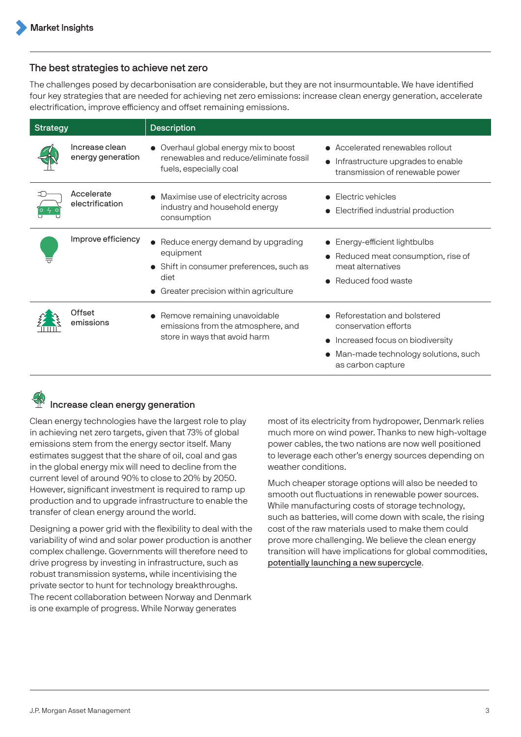#### The best strategies to achieve net zero

The challenges posed by decarbonisation are considerable, but they are not insurmountable. We have identified four key strategies that are needed for achieving net zero emissions: increase clean energy generation, accelerate electrification, improve efficiency and offset remaining emissions.

| <b>Strategy</b> |                                     | <b>Description</b>                                                                                                                           |                                                                                                                                                    |
|-----------------|-------------------------------------|----------------------------------------------------------------------------------------------------------------------------------------------|----------------------------------------------------------------------------------------------------------------------------------------------------|
|                 | Increase clean<br>energy generation | • Overhaul global energy mix to boost<br>renewables and reduce/eliminate fossil<br>fuels, especially coal                                    | • Accelerated renewables rollout<br>Infrastructure upgrades to enable<br>$\bullet$<br>transmission of renewable power                              |
|                 | Accelerate<br>electrification       | Maximise use of electricity across<br>industry and household energy<br>consumption                                                           | Electric vehicles<br>Electrified industrial production                                                                                             |
|                 | Improve efficiency                  | Reduce energy demand by upgrading<br>equipment<br>• Shift in consumer preferences, such as<br>diet<br>• Greater precision within agriculture | • Energy-efficient lightbulbs<br>Reduced meat consumption, rise of<br>meat alternatives<br>• Reduced food waste                                    |
|                 | Offset<br>emissions                 | • Remove remaining unavoidable<br>emissions from the atmosphere, and<br>store in ways that avoid harm                                        | Reforestation and bolstered<br>conservation efforts<br>Increased focus on biodiversity<br>Man-made technology solutions, such<br>as carbon capture |



Clean energy technologies have the largest role to play in achieving net zero targets, given that 73% of global emissions stem from the energy sector itself. Many estimates suggest that the share of oil, coal and gas in the global energy mix will need to decline from the current level of around 90% to close to 20% by 2050. However, significant investment is required to ramp up production and to upgrade infrastructure to enable the transfer of clean energy around the world.

Designing a power grid with the flexibility to deal with the variability of wind and solar power production is another complex challenge. Governments will therefore need to drive progress by investing in infrastructure, such as robust transmission systems, while incentivising the private sector to hunt for technology breakthroughs. The recent collaboration between Norway and Denmark is one example of progress. While Norway generates

most of its electricity from hydropower, Denmark relies much more on wind power. Thanks to new high-voltage power cables, the two nations are now well positioned to leverage each other's energy sources depending on weather conditions.

Much cheaper storage options will also be needed to smooth out fluctuations in renewable power sources. While manufacturing costs of storage technology, such as batteries, will come down with scale, the rising cost of the raw materials used to make them could prove more challenging. We believe the clean energy transition will have implications for global commodities, [potentially launching a new supercycle](https://am.jpmorgan.com/gb/en/asset-management/adv/insights/market-insights/market-updates/on-the-minds-of-investors/clean-energy-investment/).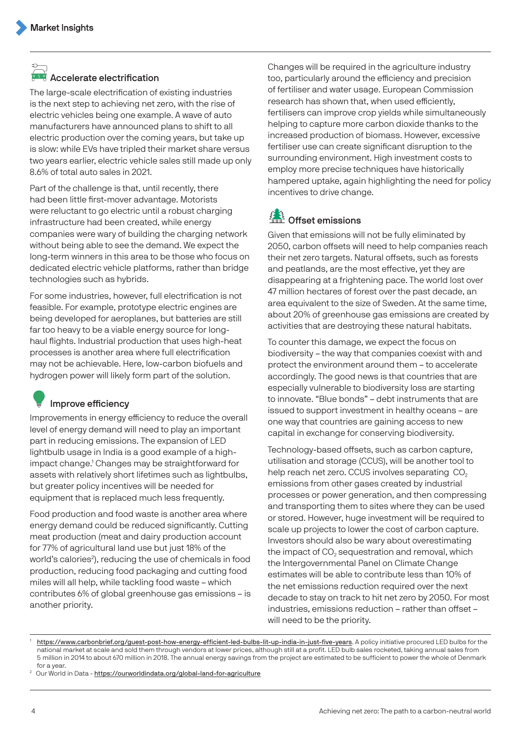### $\sum_{i=1}^{n}$ **<sup>648</sup> Accelerate electrification**

The large-scale electrification of existing industries is the next step to achieving net zero, with the rise of electric vehicles being one example. A wave of auto manufacturers have announced plans to shift to all electric production over the coming years, but take up is slow: while EVs have tripled their market share versus two years earlier, electric vehicle sales still made up only 8.6% of total auto sales in 2021.

Part of the challenge is that, until recently, there had been little first-mover advantage. Motorists were reluctant to go electric until a robust charging infrastructure had been created, while energy companies were wary of building the charging network without being able to see the demand. We expect the [long-term winners in this area](#page-7-0) to be those who focus on dedicated electric vehicle platforms, rather than bridge technologies such as hybrids.

For some industries, however, full electrification is not feasible. For example, prototype electric engines are being developed for aeroplanes, but batteries are still far too heavy to be a viable energy source for longhaul flights. Industrial production that uses high-heat processes is another area where full electrification may not be achievable. Here, low-carbon biofuels and hydrogen power will likely form part of the solution.

# Improve efficiency

Improvements in energy efficiency to reduce the overall level of energy demand will need to play an important part in reducing emissions. The expansion of LED lightbulb usage in India is a good example of a highimpact change.<sup>1</sup> Changes may be straightforward for assets with relatively short lifetimes such as lightbulbs, but greater policy incentives will be needed for equipment that is replaced much less frequently.

Food production and food waste is another area where energy demand could be reduced significantly. Cutting meat production (meat and dairy production account for 77% of agricultural land use but just 18% of the world's calories<sup>2</sup>), reducing the use of chemicals in food production, reducing food packaging and cutting food miles will all help, while tackling food waste – which contributes 6% of global greenhouse gas emissions – is another priority.

Changes will be required in the agriculture industry too, particularly around the efficiency and precision of fertiliser and water usage. European Commission research has shown that, when used efficiently, fertilisers can improve crop yields while simultaneously helping to capture more carbon dioxide thanks to the increased production of biomass. However, excessive fertiliser use can create significant disruption to the surrounding environment. High investment costs to employ more precise techniques have historically hampered uptake, again highlighting the need for policy incentives to drive change.

# **Extract Confident** Offset emissions

Given that emissions will not be fully eliminated by 2050, carbon offsets will need to help companies reach their net zero targets. Natural offsets, such as forests and peatlands, are the most effective, yet they are disappearing at a frightening pace. The world lost over 47 million hectares of forest over the past decade, an area equivalent to the size of Sweden. At the same time, about 20% of greenhouse gas emissions are created by activities that are destroying these natural habitats.

To counter this damage, we expect the focus on biodiversity – the way that companies coexist with and protect the environment around them – to accelerate accordingly. The good news is that countries that are especially vulnerable to biodiversity loss are starting to innovate. "Blue bonds" – debt instruments that are issued to support investment in healthy oceans – are one way that countries are gaining access to new capital in exchange for conserving biodiversity.

Technology-based offsets, such as carbon capture, utilisation and storage (CCUS), will be another tool to help reach net zero. CCUS involves separating CO<sub>2</sub> emissions from other gases created by industrial processes or power generation, and then compressing and transporting them to sites where they can be used or stored. However, huge investment will be required to scale up projects to lower the cost of carbon capture. Investors should also be wary about overestimating the impact of CO₂ sequestration and removal, which the Intergovernmental Panel on Climate Change estimates will be able to contribute less than 10% of the net emissions reduction required over the next decade to stay on track to hit net zero by 2050. For most industries, emissions reduction – rather than offset – will need to be the priority.

<https://www.carbonbrief.org/guest-post-how-energy-efficient-led-bulbs-lit-up-india-in-just-five-years>. A policy initiative procured LED bulbs for the national market at scale and sold them through vendors at lower prices, although still at a profit. LED bulb sales rocketed, taking annual sales from 5 million in 2014 to about 670 million in 2018. The annual energy savings from the project are estimated to be sufficient to power the whole of Denmark for a year.

Our World in Data - <https://ourworldindata.org/global-land-for-agriculture>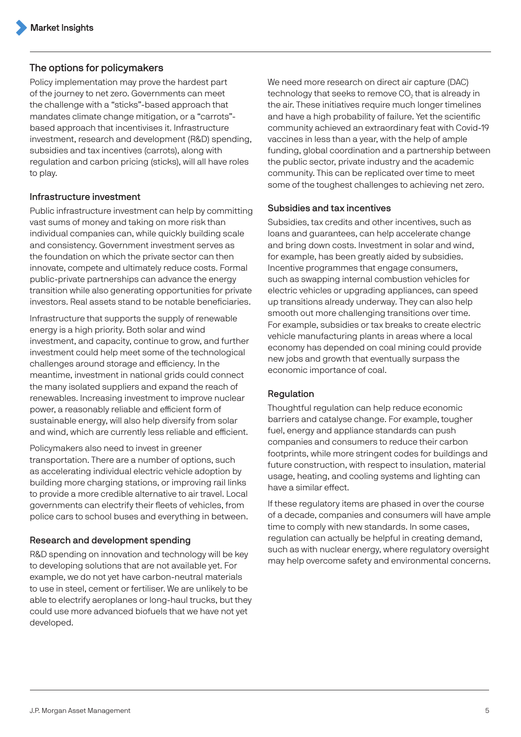# The options for policymakers

Policy implementation may prove the hardest part of the journey to net zero. Governments can meet the challenge with a "sticks"-based approach that mandates climate change mitigation, or a "carrots" based approach that incentivises it. Infrastructure investment, research and development (R&D) spending, subsidies and tax incentives (carrots), along with regulation and carbon pricing (sticks), will all have roles to play.

#### Infrastructure investment

Public infrastructure investment can help by committing vast sums of money and taking on more risk than individual companies can, while quickly building scale and consistency. Government investment serves as the foundation on which the private sector can then innovate, compete and ultimately reduce costs. Formal public-private partnerships can advance the energy transition while also generating opportunities for private investors. Real assets stand to be notable beneficiaries.

Infrastructure that supports the supply of renewable energy is a high priority. Both solar and wind investment, and capacity, continue to grow, and further investment could help meet some of the technological challenges around storage and efficiency. In the meantime, investment in national grids could connect the many isolated suppliers and expand the reach of renewables. Increasing investment to improve nuclear power, a reasonably reliable and efficient form of sustainable energy, will also help diversify from solar and wind, which are currently less reliable and efficient.

Policymakers also need to invest in greener transportation. There are a number of options, such as accelerating individual electric vehicle adoption by building more charging stations, or improving rail links to provide a more credible alternative to air travel. Local governments can electrify their fleets of vehicles, from police cars to school buses and everything in between.

### Research and development spending

R&D spending on innovation and technology will be key to developing solutions that are not available yet. For example, we do not yet have carbon-neutral materials to use in steel, cement or fertiliser. We are unlikely to be able to electrify aeroplanes or long-haul trucks, but they could use more advanced biofuels that we have not yet developed.

We need more research on direct air capture (DAC) technology that seeks to remove CO₂ that is already in the air. These initiatives require much longer timelines and have a high probability of failure. Yet the scientific community achieved an extraordinary feat with Covid-19 vaccines in less than a year, with the help of ample funding, global coordination and a partnership between the public sector, private industry and the academic community. This can be replicated over time to meet some of the toughest challenges to achieving net zero.

#### Subsidies and tax incentives

Subsidies, tax credits and other incentives, such as loans and guarantees, can help accelerate change and bring down costs. Investment in solar and wind, for example, has been greatly aided by subsidies. Incentive programmes that engage consumers, such as swapping internal combustion vehicles for electric vehicles or upgrading appliances, can speed up transitions already underway. They can also help smooth out more challenging transitions over time. For example, subsidies or tax breaks to create electric vehicle manufacturing plants in areas where a local economy has depended on coal mining could provide new jobs and growth that eventually surpass the economic importance of coal.

### Regulation

Thoughtful regulation can help reduce economic barriers and catalyse change. For example, tougher fuel, energy and appliance standards can push companies and consumers to reduce their carbon footprints, while more stringent codes for buildings and future construction, with respect to insulation, material usage, heating, and cooling systems and lighting can have a similar effect.

If these regulatory items are phased in over the course of a decade, companies and consumers will have ample time to comply with new standards. In some cases, regulation can actually be helpful in creating demand, such as with nuclear energy, where regulatory oversight may help overcome safety and environmental concerns.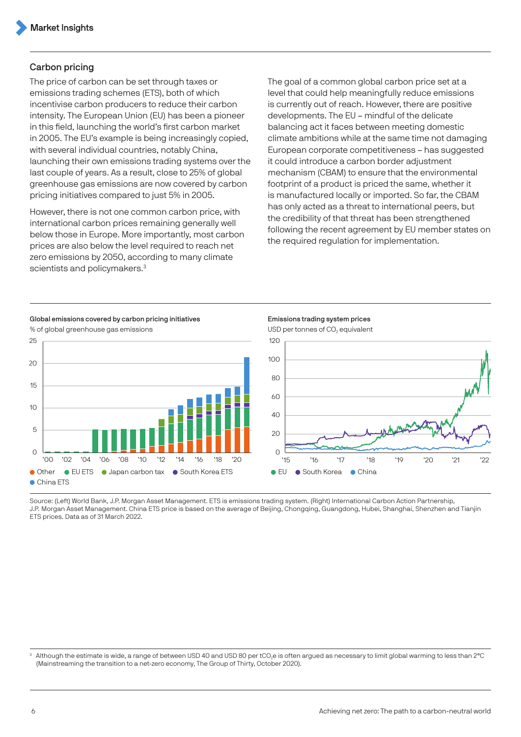#### Carbon pricing

The price of carbon can be set through taxes or emissions trading schemes (ETS), both of which incentivise carbon producers to reduce their carbon intensity. The European Union (EU) has been a pioneer in this field, launching the world's first carbon market in 2005. The EU's example is being increasingly copied, with several individual countries, notably China, launching their own emissions trading systems over the last couple of years. As a result, close to 25% of global greenhouse gas emissions are now covered by carbon pricing initiatives compared to just 5% in 2005.

However, there is not one common carbon price, with international carbon prices remaining generally well below those in Europe. More importantly, most carbon prices are also below the level required to reach net zero emissions by 2050, according to many climate scientists and policymakers.<sup>3</sup>

The goal of a common global carbon price set at a level that could help meaningfully reduce emissions is currently out of reach. However, there are positive developments. The EU – mindful of the delicate balancing act it faces between meeting domestic climate ambitions while at the same time not damaging European corporate competitiveness – has suggested it could introduce a carbon border adjustment mechanism (CBAM) to ensure that the environmental footprint of a product is priced the same, whether it is manufactured locally or imported. So far, the CBAM has only acted as a threat to international peers, but the credibility of that threat has been strengthened following the recent agreement by EU member states on the required regulation for implementation.



Global emissions covered by carbon pricing initiatives **Emissions trading system prices** 



% of global greenhouse gas emissions USD per tonnes of CO₂ equivalent

Source: (Left) World Bank, J.P. Morgan Asset Management. ETS is emissions trading system. (Right) International Carbon Action Partnership, J.P. Morgan Asset Management. China ETS price is based on the average of Beijing, Chongqing, Guangdong, Hubei, Shanghai, Shenzhen and Tianjin ETS prices. Data as of 31 March 2022.

Although the estimate is wide, a range of between USD 40 and USD 80 per tCO<sub>2</sub>e is often argued as necessary to limit global warming to less than 2°C (Mainstreaming the transition to a net-zero economy, The Group of Thirty, October 2020).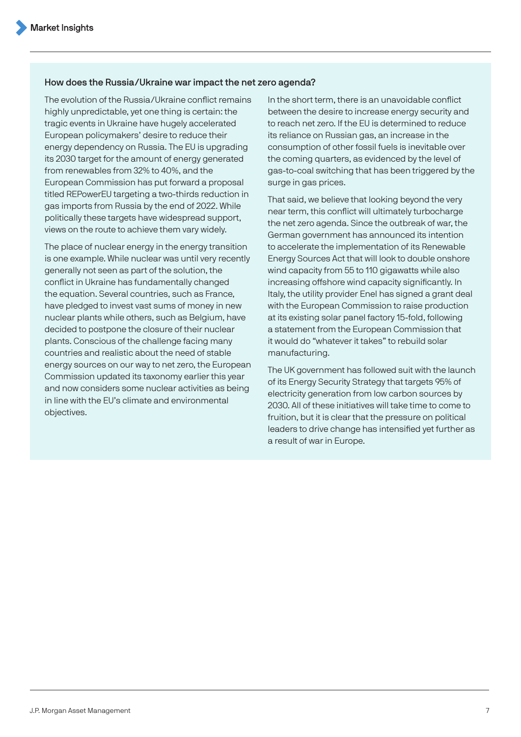#### How does the Russia/Ukraine war impact the net zero agenda?

The evolution of the Russia/Ukraine conflict remains highly unpredictable, yet one thing is certain: the tragic events in Ukraine have hugely accelerated European policymakers' desire to reduce their energy dependency on Russia. The EU is upgrading its 2030 target for the amount of energy generated from renewables from 32% to 40%, and the European Commission has put forward a proposal titled REPowerEU targeting a two-thirds reduction in gas imports from Russia by the end of 2022. While politically these targets have widespread support, views on the route to achieve them vary widely.

The place of nuclear energy in the energy transition is one example. While nuclear was until very recently generally not seen as part of the solution, the conflict in Ukraine has fundamentally changed the equation. Several countries, such as France, have pledged to invest vast sums of money in new nuclear plants while others, such as Belgium, have decided to postpone the closure of their nuclear plants. Conscious of the challenge facing many countries and realistic about the need of stable energy sources on our way to net zero, the European Commission updated its taxonomy earlier this year and now considers some nuclear activities as being in line with the EU's climate and environmental objectives.

In the short term, there is an unavoidable conflict between the desire to increase energy security and to reach net zero. If the EU is determined to reduce its reliance on Russian gas, an increase in the consumption of other fossil fuels is inevitable over the coming quarters, as evidenced by the level of gas-to-coal switching that has been triggered by the surge in gas prices.

That said, we believe that looking beyond the very near term, this conflict will ultimately turbocharge the net zero agenda. Since the outbreak of war, the German government has announced its intention to accelerate the implementation of its Renewable Energy Sources Act that will look to double onshore wind capacity from 55 to 110 gigawatts while also increasing offshore wind capacity significantly. In Italy, the utility provider Enel has signed a grant deal with the European Commission to raise production at its existing solar panel factory 15-fold, following a statement from the European Commission that it would do "whatever it takes" to rebuild solar manufacturing.

The UK government has followed suit with the launch of its Energy Security Strategy that targets 95% of electricity generation from low carbon sources by 2030. All of these initiatives will take time to come to fruition, but it is clear that the pressure on political leaders to drive change has intensified yet further as a result of war in Europe.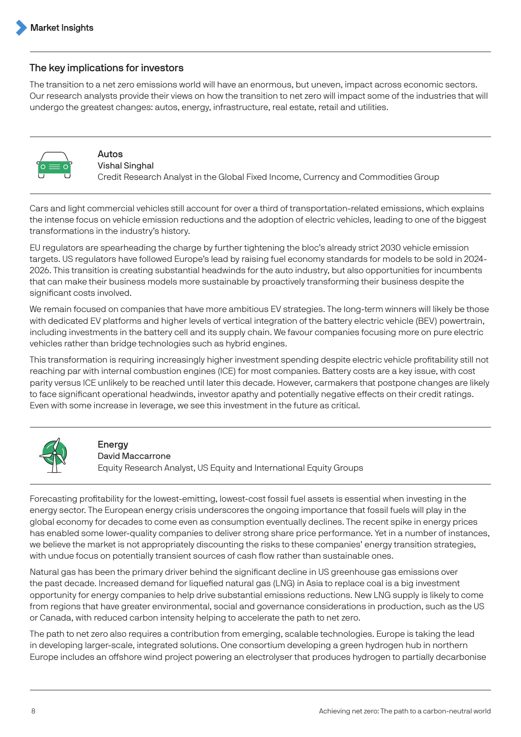# <span id="page-7-0"></span>The key implications for investors

The transition to a net zero emissions world will have an enormous, but uneven, impact across economic sectors. Our research analysts provide their views on how the transition to net zero will impact some of the industries that will undergo the greatest changes: autos, energy, infrastructure, real estate, retail and utilities.



Autos Vishal Singhal Credit Research Analyst in the Global Fixed Income, Currency and Commodities Group

Cars and light commercial vehicles still account for over a third of transportation-related emissions, which explains the intense focus on vehicle emission reductions and the adoption of electric vehicles, leading to one of the biggest transformations in the industry's history.

EU regulators are spearheading the charge by further tightening the bloc's already strict 2030 vehicle emission targets. US regulators have followed Europe's lead by raising fuel economy standards for models to be sold in 2024- 2026. This transition is creating substantial headwinds for the auto industry, but also opportunities for incumbents that can make their business models more sustainable by proactively transforming their business despite the significant costs involved.

We remain focused on companies that have more ambitious EV strategies. The long-term winners will likely be those with dedicated EV platforms and higher levels of vertical integration of the battery electric vehicle (BEV) powertrain, including investments in the battery cell and its supply chain. We favour companies focusing more on pure electric vehicles rather than bridge technologies such as hybrid engines.

This transformation is requiring increasingly higher investment spending despite electric vehicle profitability still not reaching par with internal combustion engines (ICE) for most companies. Battery costs are a key issue, with cost parity versus ICE unlikely to be reached until later this decade. However, carmakers that postpone changes are likely to face significant operational headwinds, investor apathy and potentially negative effects on their credit ratings. Even with some increase in leverage, we see this investment in the future as critical.



# **Energy**

David Maccarrone

Equity Research Analyst, US Equity and International Equity Groups

Forecasting profitability for the lowest-emitting, lowest-cost fossil fuel assets is essential when investing in the energy sector. The European energy crisis underscores the ongoing importance that fossil fuels will play in the global economy for decades to come even as consumption eventually declines. The recent spike in energy prices has enabled some lower-quality companies to deliver strong share price performance. Yet in a number of instances, we believe the market is not appropriately discounting the risks to these companies' energy transition strategies, with undue focus on potentially transient sources of cash flow rather than sustainable ones.

Natural gas has been the primary driver behind the significant decline in US greenhouse gas emissions over the past decade. Increased demand for liquefied natural gas (LNG) in Asia to replace coal is a big investment opportunity for energy companies to help drive substantial emissions reductions. New LNG supply is likely to come from regions that have greater environmental, social and governance considerations in production, such as the US or Canada, with reduced carbon intensity helping to accelerate the path to net zero.

The path to net zero also requires a contribution from emerging, scalable technologies. Europe is taking the lead in developing larger-scale, integrated solutions. One consortium developing a green hydrogen hub in northern Europe includes an offshore wind project powering an electrolyser that produces hydrogen to partially decarbonise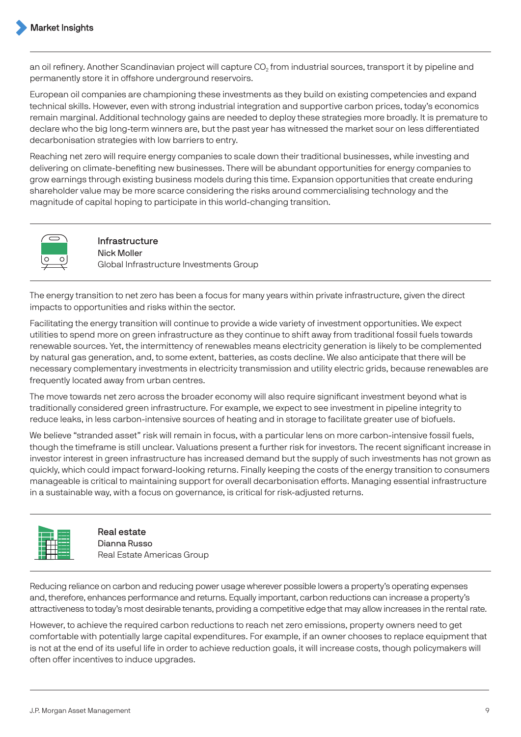an oil refinery. Another Scandinavian project will capture CO<sub>2</sub> from industrial sources, transport it by pipeline and permanently store it in offshore underground reservoirs.

European oil companies are championing these investments as they build on existing competencies and expand technical skills. However, even with strong industrial integration and supportive carbon prices, today's economics remain marginal. Additional technology gains are needed to deploy these strategies more broadly. It is premature to declare who the big long-term winners are, but the past year has witnessed the market sour on less differentiated decarbonisation strategies with low barriers to entry.

Reaching net zero will require energy companies to scale down their traditional businesses, while investing and delivering on climate-benefiting new businesses. There will be abundant opportunities for energy companies to grow earnings through existing business models during this time. Expansion opportunities that create enduring shareholder value may be more scarce considering the risks around commercialising technology and the magnitude of capital hoping to participate in this world-changing transition.



Infrastructure Nick Moller Global Infrastructure Investments Group

The energy transition to net zero has been a focus for many years within private infrastructure, given the direct impacts to opportunities and risks within the sector.

Facilitating the energy transition will continue to provide a wide variety of investment opportunities. We expect utilities to spend more on green infrastructure as they continue to shift away from traditional fossil fuels towards renewable sources. Yet, the intermittency of renewables means electricity generation is likely to be complemented by natural gas generation, and, to some extent, batteries, as costs decline. We also anticipate that there will be necessary complementary investments in electricity transmission and utility electric grids, because renewables are frequently located away from urban centres.

The move towards net zero across the broader economy will also require significant investment beyond what is traditionally considered green infrastructure. For example, we expect to see investment in pipeline integrity to reduce leaks, in less carbon-intensive sources of heating and in storage to facilitate greater use of biofuels.

We believe "stranded asset" risk will remain in focus, with a particular lens on more carbon-intensive fossil fuels, though the timeframe is still unclear. Valuations present a further risk for investors. The recent significant increase in investor interest in green infrastructure has increased demand but the supply of such investments has not grown as quickly, which could impact forward-looking returns. Finally keeping the costs of the energy transition to consumers manageable is critical to maintaining support for overall decarbonisation efforts. Managing essential infrastructure in a sustainable way, with a focus on governance, is critical for risk-adjusted returns.



Real estate Dianna Russo Real Estate Americas Group

Reducing reliance on carbon and reducing power usage wherever possible lowers a property's operating expenses and, therefore, enhances performance and returns. Equally important, carbon reductions can increase a property's attractiveness to today's most desirable tenants, providing a competitive edge that may allow increases in the rental rate.

However, to achieve the required carbon reductions to reach net zero emissions, property owners need to get comfortable with potentially large capital expenditures. For example, if an owner chooses to replace equipment that is not at the end of its useful life in order to achieve reduction goals, it will increase costs, though policymakers will often offer incentives to induce upgrades.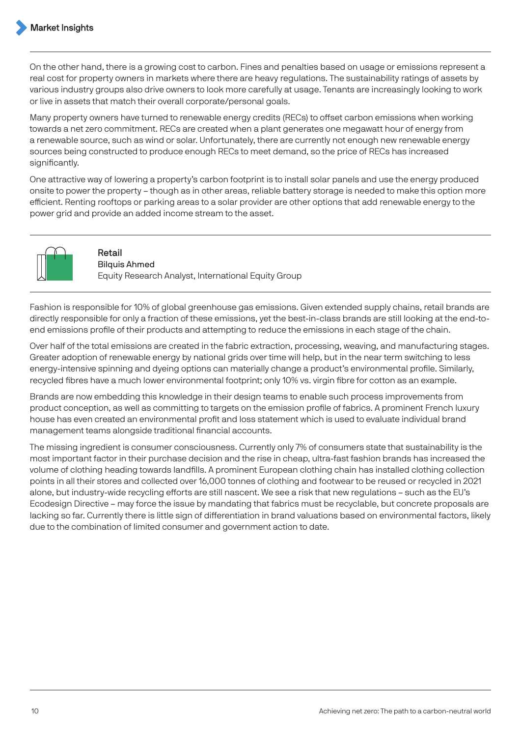On the other hand, there is a growing cost to carbon. Fines and penalties based on usage or emissions represent a real cost for property owners in markets where there are heavy regulations. The sustainability ratings of assets by various industry groups also drive owners to look more carefully at usage. Tenants are increasingly looking to work or live in assets that match their overall corporate/personal goals.

Many property owners have turned to renewable energy credits (RECs) to offset carbon emissions when working towards a net zero commitment. RECs are created when a plant generates one megawatt hour of energy from a renewable source, such as wind or solar. Unfortunately, there are currently not enough new renewable energy sources being constructed to produce enough RECs to meet demand, so the price of RECs has increased significantly.

One attractive way of lowering a property's carbon footprint is to install solar panels and use the energy produced onsite to power the property – though as in other areas, reliable battery storage is needed to make this option more efficient. Renting rooftops or parking areas to a solar provider are other options that add renewable energy to the power grid and provide an added income stream to the asset.



Retail Bilquis Ahmed Equity Research Analyst, International Equity Group

Fashion is responsible for 10% of global greenhouse gas emissions. Given extended supply chains, retail brands are directly responsible for only a fraction of these emissions, yet the best-in-class brands are still looking at the end-toend emissions profile of their products and attempting to reduce the emissions in each stage of the chain.

Over half of the total emissions are created in the fabric extraction, processing, weaving, and manufacturing stages. Greater adoption of renewable energy by national grids over time will help, but in the near term switching to less energy-intensive spinning and dyeing options can materially change a product's environmental profile. Similarly, recycled fibres have a much lower environmental footprint; only 10% vs. virgin fibre for cotton as an example.

Brands are now embedding this knowledge in their design teams to enable such process improvements from product conception, as well as committing to targets on the emission profile of fabrics. A prominent French luxury house has even created an environmental profit and loss statement which is used to evaluate individual brand management teams alongside traditional financial accounts.

The missing ingredient is consumer consciousness. Currently only 7% of consumers state that sustainability is the most important factor in their purchase decision and the rise in cheap, ultra-fast fashion brands has increased the volume of clothing heading towards landfills. A prominent European clothing chain has installed clothing collection points in all their stores and collected over 16,000 tonnes of clothing and footwear to be reused or recycled in 2021 alone, but industry-wide recycling efforts are still nascent. We see a risk that new regulations – such as the EU's Ecodesign Directive – may force the issue by mandating that fabrics must be recyclable, but concrete proposals are lacking so far. Currently there is little sign of differentiation in brand valuations based on environmental factors, likely due to the combination of limited consumer and government action to date.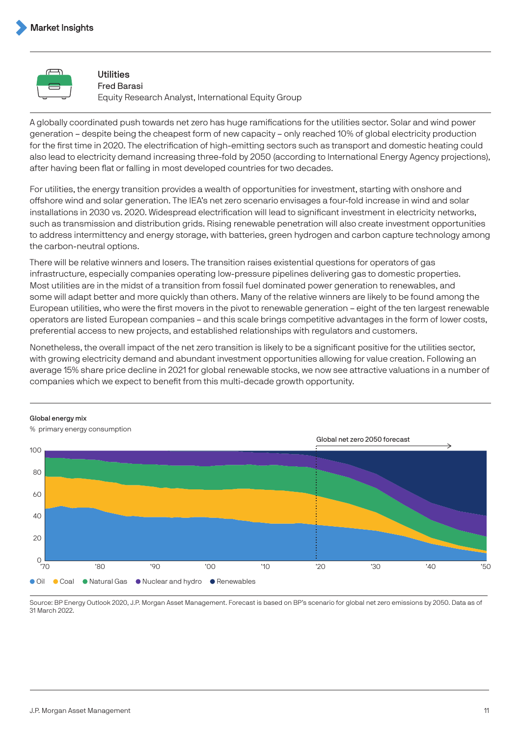

#### Utilities

Fred Barasi Equity Research Analyst, International Equity Group

A globally coordinated push towards net zero has huge ramifications for the utilities sector. Solar and wind power generation – despite being the cheapest form of new capacity – only reached 10% of global electricity production for the first time in 2020. The electrification of high-emitting sectors such as transport and domestic heating could also lead to electricity demand increasing three-fold by 2050 (according to International Energy Agency projections), after having been flat or falling in most developed countries for two decades.

For utilities, the energy transition provides a wealth of opportunities for investment, starting with onshore and offshore wind and solar generation. The IEA's net zero scenario envisages a four-fold increase in wind and solar installations in 2030 vs. 2020. Widespread electrification will lead to significant investment in electricity networks, such as transmission and distribution grids. Rising renewable penetration will also create investment opportunities to address intermittency and energy storage, with batteries, green hydrogen and carbon capture technology among the carbon-neutral options.

There will be relative winners and losers. The transition raises existential questions for operators of gas infrastructure, especially companies operating low-pressure pipelines delivering gas to domestic properties. Most utilities are in the midst of a transition from fossil fuel dominated power generation to renewables, and some will adapt better and more quickly than others. Many of the relative winners are likely to be found among the European utilities, who were the first movers in the pivot to renewable generation – eight of the ten largest renewable operators are listed European companies – and this scale brings competitive advantages in the form of lower costs, preferential access to new projects, and established relationships with regulators and customers.

Nonetheless, the overall impact of the net zero transition is likely to be a significant positive for the utilities sector, with growing electricity demand and abundant investment opportunities allowing for value creation. Following an average 15% share price decline in 2021 for global renewable stocks, we now see attractive valuations in a number of companies which we expect to benefit from this multi-decade growth opportunity.

#### Global energy mix



% primary energy consumption

Source: BP Energy Outlook 2020, J.P. Morgan Asset Management. Forecast is based on BP's scenario for global net zero emissions by 2050. Data as of 31 March 2022.